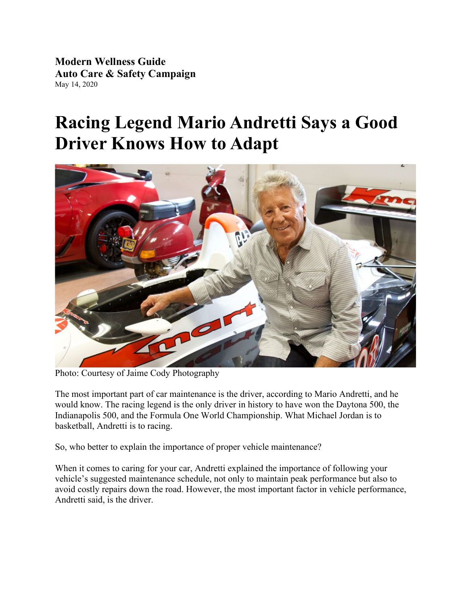**Modern Wellness Guide Auto Care & Safety Campaign** May 14, 2020

# **Racing Legend Mario Andretti Says a Good Driver Knows How to Adapt**



Photo: Courtesy of Jaime Cody Photography

The most important part of car maintenance is the driver, according to Mario Andretti, and he would know. The racing legend is the only driver in history to have won the Daytona 500, the Indianapolis 500, and the Formula One World Championship. What Michael Jordan is to basketball, Andretti is to racing.

So, who better to explain the importance of proper vehicle maintenance?

When it comes to caring for your car, Andretti explained the importance of following your vehicle's suggested maintenance schedule, not only to maintain peak performance but also to avoid costly repairs down the road. However, the most important factor in vehicle performance, Andretti said, is the driver.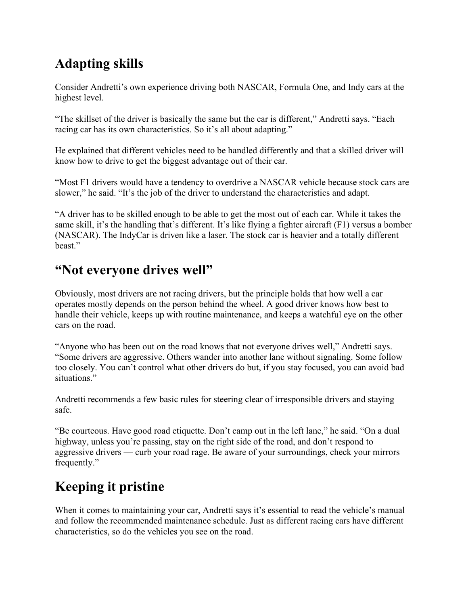### **Adapting skills**

Consider Andretti's own experience driving both NASCAR, Formula One, and Indy cars at the highest level.

"The skillset of the driver is basically the same but the car is different," Andretti says. "Each racing car has its own characteristics. So it's all about adapting."

He explained that different vehicles need to be handled differently and that a skilled driver will know how to drive to get the biggest advantage out of their car.

"Most F1 drivers would have a tendency to overdrive a NASCAR vehicle because stock cars are slower," he said. "It's the job of the driver to understand the characteristics and adapt.

"A driver has to be skilled enough to be able to get the most out of each car. While it takes the same skill, it's the handling that's different. It's like flying a fighter aircraft (F1) versus a bomber (NASCAR). The IndyCar is driven like a laser. The stock car is heavier and a totally different beast."

#### **"Not everyone drives well"**

Obviously, most drivers are not racing drivers, but the principle holds that how well a car operates mostly depends on the person behind the wheel. A good driver knows how best to handle their vehicle, keeps up with routine maintenance, and keeps a watchful eye on the other cars on the road.

"Anyone who has been out on the road knows that not everyone drives well," Andretti says. "Some drivers are aggressive. Others wander into another lane without signaling. Some follow too closely. You can't control what other drivers do but, if you stay focused, you can avoid bad situations."

Andretti recommends a few basic rules for steering clear of irresponsible drivers and staying safe.

"Be courteous. Have good road etiquette. Don't camp out in the left lane," he said. "On a dual highway, unless you're passing, stay on the right side of the road, and don't respond to aggressive drivers — curb your road rage. Be aware of your surroundings, check your mirrors frequently."

## **Keeping it pristine**

When it comes to maintaining your car, Andretti says it's essential to read the vehicle's manual and follow the recommended maintenance schedule. Just as different racing cars have different characteristics, so do the vehicles you see on the road.